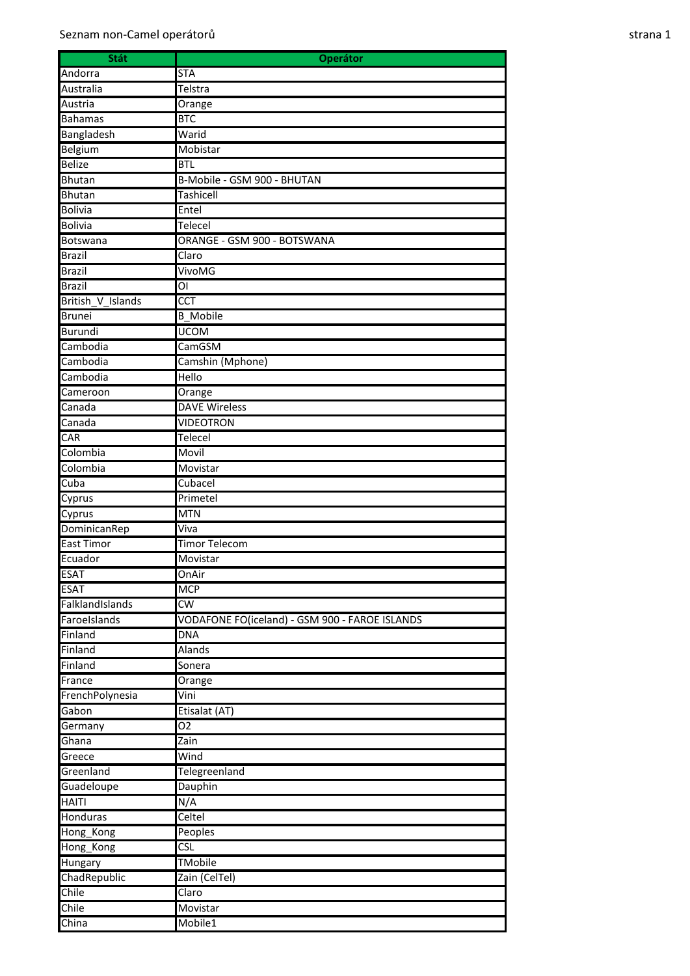| Stát              | <b>Operátor</b>                                |
|-------------------|------------------------------------------------|
| Andorra           | <b>STA</b>                                     |
| Australia         | Telstra                                        |
| Austria           | Orange                                         |
| <b>Bahamas</b>    | <b>BTC</b>                                     |
| Bangladesh        | Warid                                          |
| Belgium           | Mobistar                                       |
| <b>Belize</b>     | <b>BTL</b>                                     |
| Bhutan            | B-Mobile - GSM 900 - BHUTAN                    |
| <b>Bhutan</b>     | <b>Tashicell</b>                               |
| <b>Bolivia</b>    | Entel                                          |
| <b>Bolivia</b>    | Telecel                                        |
| Botswana          | ORANGE - GSM 900 - BOTSWANA                    |
| <b>Brazil</b>     | Claro                                          |
| <b>Brazil</b>     | VivoMG                                         |
| <b>Brazil</b>     |                                                |
| British V Islands | $\overline{CCT}$                               |
| <b>Brunei</b>     | <b>B</b> Mobile                                |
| Burundi           | <b>UCOM</b>                                    |
| Cambodia          | CamGSM                                         |
| Cambodia          | Camshin (Mphone)                               |
| Cambodia          | Hello                                          |
| Cameroon          | Orange                                         |
| Canada            | <b>DAVE Wireless</b>                           |
| Canada            | <b>VIDEOTRON</b>                               |
| <b>CAR</b>        | <b>Telecel</b>                                 |
| Colombia          | Movil                                          |
| Colombia          | Movistar                                       |
| Cuba              | Cubacel                                        |
|                   | Primetel                                       |
| Cyprus            | <b>MTN</b>                                     |
| Cyprus            |                                                |
| DominicanRep      | Viva<br><b>Timor Telecom</b>                   |
| <b>East Timor</b> |                                                |
| Ecuador           | Movistar                                       |
| <b>ESAT</b>       | OnAir                                          |
| <b>ESAT</b>       | <b>MCP</b>                                     |
| FalklandIslands   | $\overline{\mathsf{cw}}$                       |
| FaroeIslands      | VODAFONE FO(iceland) - GSM 900 - FAROE ISLANDS |
| Finland           | <b>DNA</b>                                     |
| Finland           | <b>Alands</b>                                  |
| Finland           | Sonera                                         |
| France            | Orange                                         |
| FrenchPolynesia   | Vini                                           |
| Gabon             | Etisalat (AT)                                  |
| Germany           | 02                                             |
| Ghana             | Zain                                           |
| Greece            | Wind                                           |
| Greenland         | Telegreenland                                  |
| Guadeloupe        | Dauphin                                        |
| <b>HAITI</b>      | N/A                                            |
| Honduras          | Celtel                                         |
| Hong_Kong         | Peoples                                        |
| Hong_Kong         | <b>CSL</b>                                     |
| Hungary           | <b>TMobile</b>                                 |
| ChadRepublic      | Zain (CelTel)                                  |
| Chile             | Claro                                          |
| Chile             | Movistar                                       |
| China             | Mobile1                                        |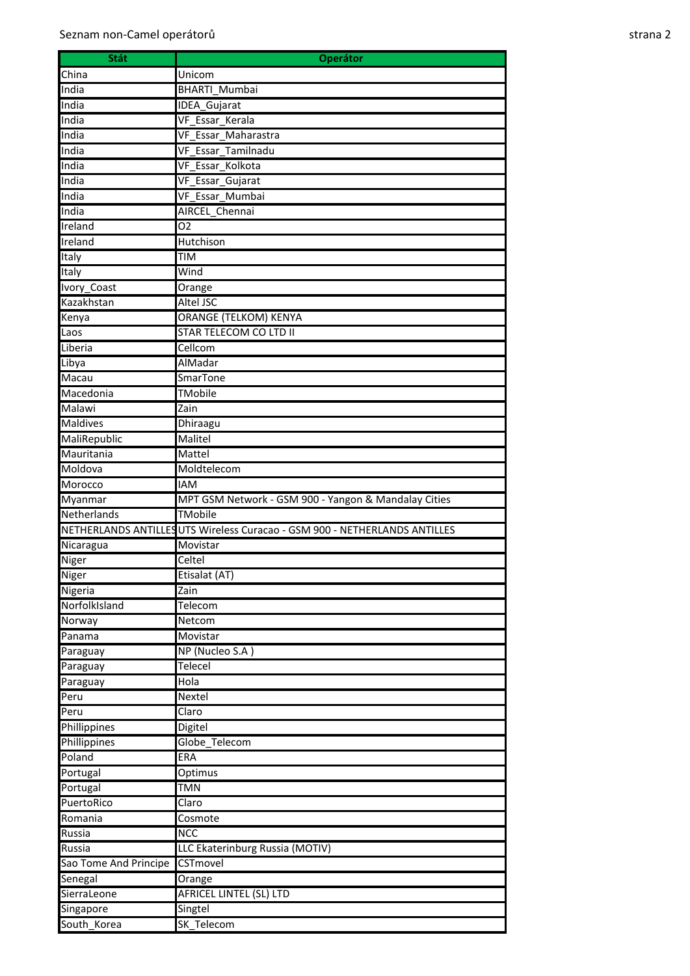| <b>Stát</b>           | <b>Operátor</b>                                                            |
|-----------------------|----------------------------------------------------------------------------|
| China                 | Unicom                                                                     |
| India                 | <b>BHARTI_Mumbai</b>                                                       |
| India                 | <b>IDEA Gujarat</b>                                                        |
| India                 | VF Essar Kerala                                                            |
| India                 | VF Essar Maharastra                                                        |
| India                 | VF_Essar_Tamilnadu                                                         |
| India                 | VF Essar_Kolkota                                                           |
| India                 | VF_Essar_Gujarat                                                           |
| India                 | VF Essar Mumbai                                                            |
| India                 | AIRCEL Chennai                                                             |
| Ireland               | 02                                                                         |
| Ireland               | <b>Hutchison</b>                                                           |
| Italy                 | <b>TIM</b>                                                                 |
| Italy                 | Wind                                                                       |
| Ivory_Coast           | Orange                                                                     |
| Kazakhstan            | <b>Altel JSC</b>                                                           |
| Kenya                 | <b>ORANGE (TELKOM) KENYA</b>                                               |
| Laos                  | STAR TELECOM CO LTD II                                                     |
| Liberia               | Cellcom                                                                    |
| Libya                 | AlMadar                                                                    |
| Macau                 | <b>SmarTone</b>                                                            |
| Macedonia             | TMobile                                                                    |
| Malawi                | Zain                                                                       |
| <b>Maldives</b>       | Dhiraagu                                                                   |
| MaliRepublic          | Malitel                                                                    |
| Mauritania            | Mattel                                                                     |
| Moldova               | Moldtelecom                                                                |
| Morocco               | <b>IAM</b>                                                                 |
| Myanmar               | MPT GSM Network - GSM 900 - Yangon & Mandalay Cities                       |
| Netherlands           | TMobile                                                                    |
|                       | NETHERLANDS ANTILLES UTS Wireless Curacao - GSM 900 - NETHERLANDS ANTILLES |
| Nicaragua             | Movistar                                                                   |
| Niger                 | Celtel                                                                     |
| Niger                 | Etisalat (AT)                                                              |
| Nigeria               | Zain                                                                       |
| NorfolkIsland         | Telecom                                                                    |
| Norway                | Netcom                                                                     |
| Panama                | Movistar                                                                   |
| Paraguay              | NP (Nucleo S.A)                                                            |
| Paraguay              | <b>Telecel</b>                                                             |
| Paraguay              | Hola                                                                       |
| Peru                  | Nextel                                                                     |
| Peru                  | Claro                                                                      |
| Phillippines          | Digitel                                                                    |
| Phillippines          | Globe_Telecom                                                              |
| Poland                | ERA                                                                        |
| Portugal              | Optimus                                                                    |
| Portugal              | <b>TMN</b>                                                                 |
| PuertoRico            | Claro                                                                      |
| Romania               | Cosmote                                                                    |
| Russia                | <b>NCC</b>                                                                 |
| Russia                | LLC Ekaterinburg Russia (MOTIV)                                            |
| Sao Tome And Principe | CSTmovel                                                                   |
| Senegal               | Orange                                                                     |
| SierraLeone           | <b>AFRICEL LINTEL (SL) LTD</b>                                             |
| Singapore             | Singtel                                                                    |
| South_Korea           | SK_Telecom                                                                 |